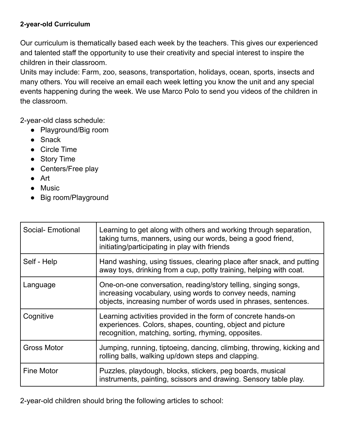## **2-year-old Curriculum**

Our curriculum is thematically based each week by the teachers. This gives our experienced and talented staff the opportunity to use their creativity and special interest to inspire the children in their classroom.

Units may include: Farm, zoo, seasons, transportation, holidays, ocean, sports, insects and many others. You will receive an email each week letting you know the unit and any special events happening during the week. We use Marco Polo to send you videos of the children in the classroom.

2-year-old class schedule:

- Playground/Big room
- Snack
- Circle Time
- Story Time
- Centers/Free play
- Art
- Music
- Big room/Playground

| Social- Emotional  | Learning to get along with others and working through separation,<br>taking turns, manners, using our words, being a good friend,<br>initiating/participating in play with friends              |
|--------------------|-------------------------------------------------------------------------------------------------------------------------------------------------------------------------------------------------|
| Self - Help        | Hand washing, using tissues, clearing place after snack, and putting<br>away toys, drinking from a cup, potty training, helping with coat.                                                      |
| Language           | One-on-one conversation, reading/story telling, singing songs,<br>increasing vocabulary, using words to convey needs, naming<br>objects, increasing number of words used in phrases, sentences. |
| Cognitive          | Learning activities provided in the form of concrete hands-on<br>experiences. Colors, shapes, counting, object and picture<br>recognition, matching, sorting, rhyming, opposites.               |
| <b>Gross Motor</b> | Jumping, running, tiptoeing, dancing, climbing, throwing, kicking and<br>rolling balls, walking up/down steps and clapping.                                                                     |
| <b>Fine Motor</b>  | Puzzles, playdough, blocks, stickers, peg boards, musical<br>instruments, painting, scissors and drawing. Sensory table play.                                                                   |

2-year-old children should bring the following articles to school: